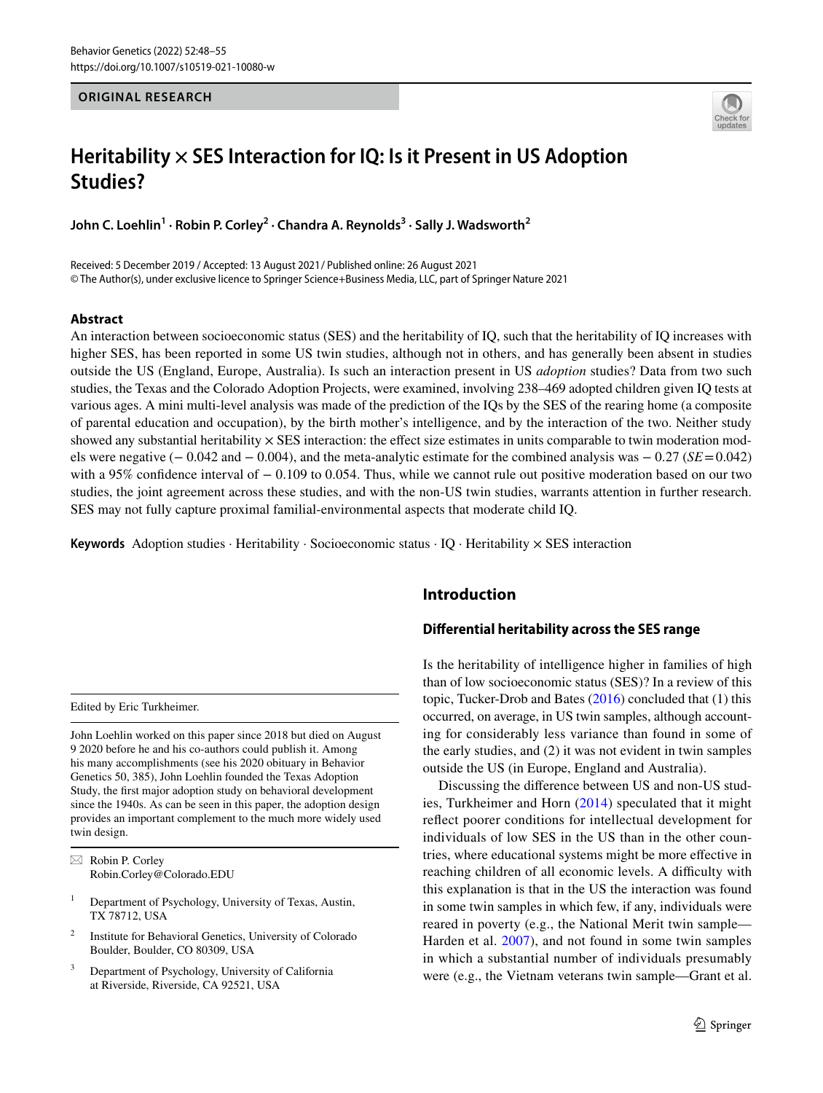## **ORIGINAL RESEARCH**



# **Heritability × SES Interaction for IQ: Is it Present in US Adoption Studies?**

**John C. Loehlin<sup>1</sup> · Robin P. Corley<sup>2</sup> · Chandra A. Reynolds<sup>3</sup> · Sally J. Wadsworth<sup>2</sup>**

Received: 5 December 2019 / Accepted: 13 August 2021 / Published online: 26 August 2021 © The Author(s), under exclusive licence to Springer Science+Business Media, LLC, part of Springer Nature 2021

## **Abstract**

An interaction between socioeconomic status (SES) and the heritability of IQ, such that the heritability of IQ increases with higher SES, has been reported in some US twin studies, although not in others, and has generally been absent in studies outside the US (England, Europe, Australia). Is such an interaction present in US *adoption* studies? Data from two such studies, the Texas and the Colorado Adoption Projects, were examined, involving 238–469 adopted children given IQ tests at various ages. A mini multi-level analysis was made of the prediction of the IQs by the SES of the rearing home (a composite of parental education and occupation), by the birth mother's intelligence, and by the interaction of the two. Neither study showed any substantial heritability  $\times$  SES interaction: the effect size estimates in units comparable to twin moderation models were negative (− 0.042 and − 0.004), and the meta-analytic estimate for the combined analysis was − 0.27 (*SE* = 0.042) with a 95% confidence interval of − 0.109 to 0.054. Thus, while we cannot rule out positive moderation based on our two studies, the joint agreement across these studies, and with the non-US twin studies, warrants attention in further research. SES may not fully capture proximal familial-environmental aspects that moderate child IQ.

**Keywords** Adoption studies · Heritability · Socioeconomic status · IQ · Heritability × SES interaction

Edited by Eric Turkheimer.

John Loehlin worked on this paper since 2018 but died on August 9 2020 before he and his co-authors could publish it. Among his many accomplishments (see his 2020 obituary in Behavior Genetics 50, 385), John Loehlin founded the Texas Adoption Study, the first major adoption study on behavioral development since the 1940s. As can be seen in this paper, the adoption design provides an important complement to the much more widely used twin design.

 $\boxtimes$  Robin P. Corley Robin.Corley@Colorado.EDU

- 1 Department of Psychology, University of Texas, Austin, TX 78712, USA
- 2 Institute for Behavioral Genetics, University of Colorado Boulder, Boulder, CO 80309, USA
- 3 Department of Psychology, University of California at Riverside, Riverside, CA 92521, USA

# **Introduction**

## **Differential heritability across the SES range**

Is the heritability of intelligence higher in families of high than of low socioeconomic status (SES)? In a review of this topic, Tucker-Drob and Bates [\(2016](#page-7-0)) concluded that (1) this occurred, on average, in US twin samples, although accounting for considerably less variance than found in some of the early studies, and (2) it was not evident in twin samples outside the US (in Europe, England and Australia).

Discussing the difference between US and non-US studies, Turkheimer and Horn ([2014](#page-7-1)) speculated that it might reflect poorer conditions for intellectual development for individuals of low SES in the US than in the other countries, where educational systems might be more effective in reaching children of all economic levels. A difficulty with this explanation is that in the US the interaction was found in some twin samples in which few, if any, individuals were reared in poverty (e.g., the National Merit twin sample— Harden et al. [2007\)](#page-7-2), and not found in some twin samples in which a substantial number of individuals presumably were (e.g., the Vietnam veterans twin sample—Grant et al.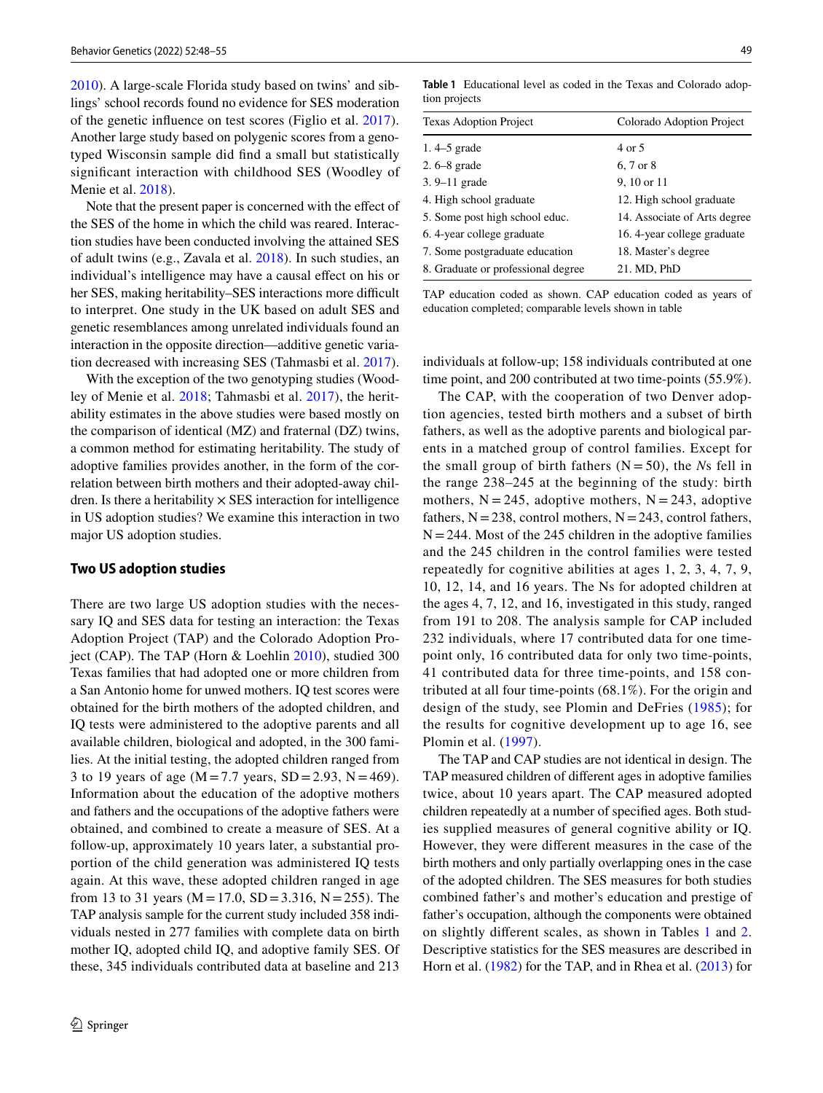[2010](#page-7-3)). A large-scale Florida study based on twins' and siblings' school records found no evidence for SES moderation of the genetic influence on test scores (Figlio et al. [2017](#page-7-4)). Another large study based on polygenic scores from a genotyped Wisconsin sample did find a small but statistically significant interaction with childhood SES (Woodley of Menie et al. [2018](#page-7-5)).

Note that the present paper is concerned with the effect of the SES of the home in which the child was reared. Interaction studies have been conducted involving the attained SES of adult twins (e.g., Zavala et al. [2018](#page-7-6)). In such studies, an individual's intelligence may have a causal effect on his or her SES, making heritability–SES interactions more difficult to interpret. One study in the UK based on adult SES and genetic resemblances among unrelated individuals found an interaction in the opposite direction—additive genetic variation decreased with increasing SES (Tahmasbi et al. [2017](#page-7-7)).

With the exception of the two genotyping studies (Woodley of Menie et al. [2018](#page-7-5); Tahmasbi et al. [2017](#page-7-7)), the heritability estimates in the above studies were based mostly on the comparison of identical (MZ) and fraternal (DZ) twins, a common method for estimating heritability. The study of adoptive families provides another, in the form of the correlation between birth mothers and their adopted-away children. Is there a heritability  $\times$  SES interaction for intelligence in US adoption studies? We examine this interaction in two major US adoption studies.

#### **Two US adoption studies**

There are two large US adoption studies with the necessary IQ and SES data for testing an interaction: the Texas Adoption Project (TAP) and the Colorado Adoption Project (CAP). The TAP (Horn & Loehlin [2010\)](#page-7-8), studied 300 Texas families that had adopted one or more children from a San Antonio home for unwed mothers. IQ test scores were obtained for the birth mothers of the adopted children, and IQ tests were administered to the adoptive parents and all available children, biological and adopted, in the 300 families. At the initial testing, the adopted children ranged from 3 to 19 years of age ( $M = 7.7$  years,  $SD = 2.93$ ,  $N = 469$ ). Information about the education of the adoptive mothers and fathers and the occupations of the adoptive fathers were obtained, and combined to create a measure of SES. At a follow-up, approximately 10 years later, a substantial proportion of the child generation was administered IQ tests again. At this wave, these adopted children ranged in age from 13 to 31 years ( $M = 17.0$ ,  $SD = 3.316$ ,  $N = 255$ ). The TAP analysis sample for the current study included 358 individuals nested in 277 families with complete data on birth mother IQ, adopted child IQ, and adoptive family SES. Of these, 345 individuals contributed data at baseline and 213

<span id="page-1-0"></span>**Table 1** Educational level as coded in the Texas and Colorado adoption projects

| Colorado Adoption Project    |
|------------------------------|
| 4 or 5                       |
| 6, 7 or 8                    |
| 9, 10 or 11                  |
| 12. High school graduate     |
| 14. Associate of Arts degree |
| 16. 4-year college graduate  |
| 18. Master's degree          |
| 21. MD, PhD                  |
|                              |

TAP education coded as shown. CAP education coded as years of education completed; comparable levels shown in table

individuals at follow-up; 158 individuals contributed at one time point, and 200 contributed at two time-points (55.9%).

The CAP, with the cooperation of two Denver adoption agencies, tested birth mothers and a subset of birth fathers, as well as the adoptive parents and biological parents in a matched group of control families. Except for the small group of birth fathers  $(N = 50)$ , the *Ns* fell in the range 238–245 at the beginning of the study: birth mothers,  $N = 245$ , adoptive mothers,  $N = 243$ , adoptive fathers,  $N = 238$ , control mothers,  $N = 243$ , control fathers,  $N = 244$ . Most of the 245 children in the adoptive families and the 245 children in the control families were tested repeatedly for cognitive abilities at ages 1, 2, 3, 4, 7, 9, 10, 12, 14, and 16 years. The Ns for adopted children at the ages 4, 7, 12, and 16, investigated in this study, ranged from 191 to 208. The analysis sample for CAP included 232 individuals, where 17 contributed data for one timepoint only, 16 contributed data for only two time-points, 41 contributed data for three time-points, and 158 contributed at all four time-points (68.1%). For the origin and design of the study, see Plomin and DeFries ([1985\)](#page-7-9); for the results for cognitive development up to age 16, see Plomin et al. [\(1997](#page-7-10)).

The TAP and CAP studies are not identical in design. The TAP measured children of different ages in adoptive families twice, about 10 years apart. The CAP measured adopted children repeatedly at a number of specified ages. Both studies supplied measures of general cognitive ability or IQ. However, they were different measures in the case of the birth mothers and only partially overlapping ones in the case of the adopted children. The SES measures for both studies combined father's and mother's education and prestige of father's occupation, although the components were obtained on slightly different scales, as shown in Tables [1](#page-1-0) and [2.](#page-2-0) Descriptive statistics for the SES measures are described in Horn et al. [\(1982\)](#page-7-11) for the TAP, and in Rhea et al. ([2013](#page-7-12)) for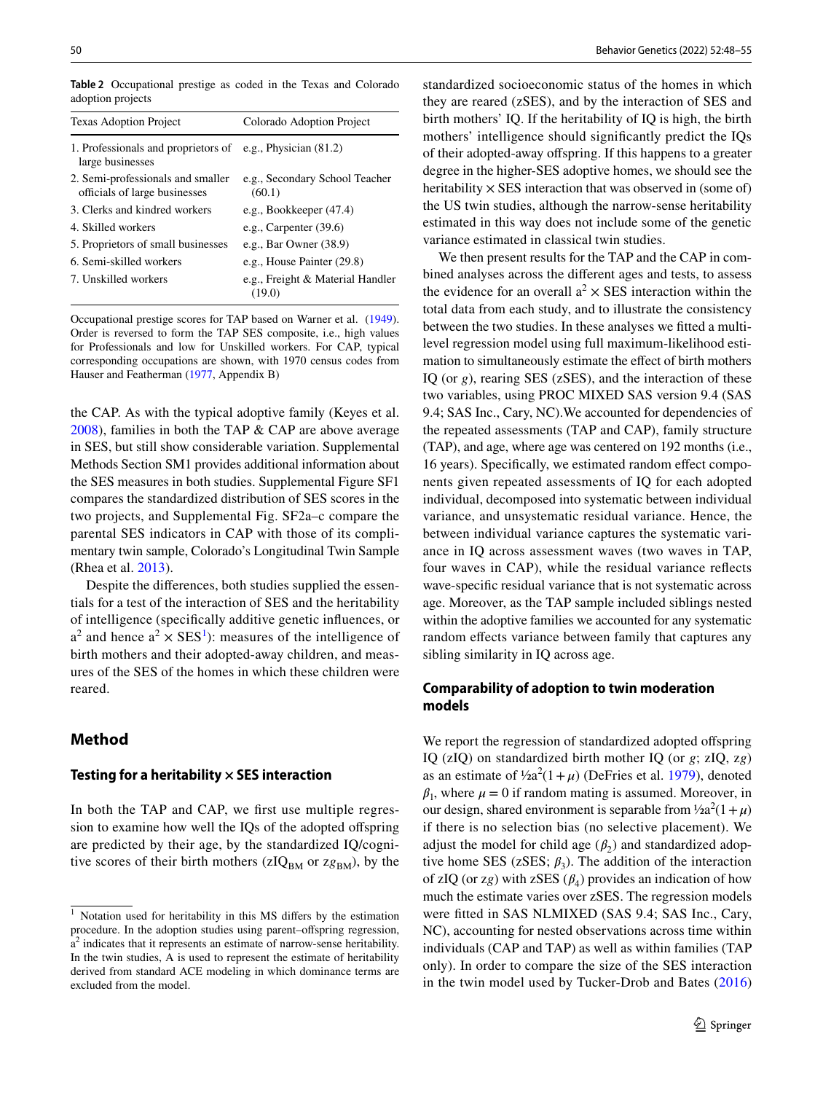Texas Adoption Project Colorado Adoption Project 1. Professionals and proprietors of large businesses e.g., Physician (81.2) 2. Semi-professionals and smaller officials of large businesses e.g., Secondary School Teacher  $(60.1)$ 3. Clerks and kindred workers e.g., Bookkeeper (47.4) 4. Skilled workers e.g., Carpenter (39.6) 5. Proprietors of small businesses e.g., Bar Owner (38.9) 6. Semi-skilled workers e.g., House Painter (29.8) 7. Unskilled workers e.g., Freight & Material Handler (19.0)

<span id="page-2-0"></span>**Table 2** Occupational prestige as coded in the Texas and Colorado adoption projects

Occupational prestige scores for TAP based on Warner et al. [\(1949](#page-7-15)). Order is reversed to form the TAP SES composite, i.e., high values for Professionals and low for Unskilled workers. For CAP, typical corresponding occupations are shown, with 1970 census codes from Hauser and Featherman ([1977,](#page-7-16) Appendix B)

the CAP. As with the typical adoptive family (Keyes et al. [2008](#page-7-13)), families in both the TAP & CAP are above average in SES, but still show considerable variation. Supplemental Methods Section SM1 provides additional information about the SES measures in both studies. Supplemental Figure SF1 compares the standardized distribution of SES scores in the two projects, and Supplemental Fig. SF2a–c compare the parental SES indicators in CAP with those of its complimentary twin sample, Colorado's Longitudinal Twin Sample (Rhea et al. [2013\)](#page-7-12).

Despite the differences, both studies supplied the essentials for a test of the interaction of SES and the heritability of intelligence (specifically additive genetic influences, or  $a<sup>2</sup>$  and hence  $a<sup>2</sup> \times SES<sup>1</sup>$  $a<sup>2</sup> \times SES<sup>1</sup>$  $a<sup>2</sup> \times SES<sup>1</sup>$ ): measures of the intelligence of birth mothers and their adopted-away children, and measures of the SES of the homes in which these children were reared.

# **Method**

## **Testing for a heritability × SES interaction**

In both the TAP and CAP, we first use multiple regression to examine how well the IQs of the adopted offspring are predicted by their age, by the standardized IQ/cognitive scores of their birth mothers ( $zIQ<sub>BM</sub>$  or  $zg<sub>BM</sub>$ ), by the standardized socioeconomic status of the homes in which they are reared (zSES), and by the interaction of SES and birth mothers' IQ. If the heritability of IQ is high, the birth mothers' intelligence should significantly predict the IQs of their adopted-away offspring. If this happens to a greater degree in the higher-SES adoptive homes, we should see the heritability  $\times$  SES interaction that was observed in (some of) the US twin studies, although the narrow-sense heritability estimated in this way does not include some of the genetic variance estimated in classical twin studies.

We then present results for the TAP and the CAP in combined analyses across the different ages and tests, to assess the evidence for an overall  $a^2 \times$  SES interaction within the total data from each study, and to illustrate the consistency between the two studies. In these analyses we fitted a multilevel regression model using full maximum-likelihood estimation to simultaneously estimate the effect of birth mothers IQ (or *g*), rearing SES (zSES), and the interaction of these two variables, using PROC MIXED SAS version 9.4 (SAS 9.4; SAS Inc., Cary, NC).We accounted for dependencies of the repeated assessments (TAP and CAP), family structure (TAP), and age, where age was centered on 192 months (i.e., 16 years). Specifically, we estimated random effect components given repeated assessments of IQ for each adopted individual, decomposed into systematic between individual variance, and unsystematic residual variance. Hence, the between individual variance captures the systematic variance in IQ across assessment waves (two waves in TAP, four waves in CAP), while the residual variance reflects wave-specific residual variance that is not systematic across age. Moreover, as the TAP sample included siblings nested within the adoptive families we accounted for any systematic random effects variance between family that captures any sibling similarity in IQ across age.

# **Comparability of adoption to twin moderation models**

We report the regression of standardized adopted offspring IQ (zIQ) on standardized birth mother IQ (or *g*; zIQ, z*g*) as an estimate of  $\frac{1}{2}a^2(1 + \mu)$  (DeFries et al. [1979\)](#page-7-14), denoted  $\beta_1$ , where  $\mu = 0$  if random mating is assumed. Moreover, in our design, shared environment is separable from  $\frac{1}{2}a^2(1 + \mu)$ if there is no selection bias (no selective placement). We adjust the model for child age  $(\beta_2)$  and standardized adoptive home SES ( $z$ SES;  $\beta_3$ ). The addition of the interaction of zIQ (or zg) with zSES  $(\beta_4)$  provides an indication of how much the estimate varies over zSES. The regression models were fitted in SAS NLMIXED (SAS 9.4; SAS Inc., Cary, NC), accounting for nested observations across time within individuals (CAP and TAP) as well as within families (TAP only). In order to compare the size of the SES interaction in the twin model used by Tucker-Drob and Bates [\(2016\)](#page-7-0)

<span id="page-2-1"></span><sup>1</sup> Notation used for heritability in this MS differs by the estimation procedure. In the adoption studies using parent–offspring regression, a<sup>2</sup> indicates that it represents an estimate of narrow-sense heritability. In the twin studies, A is used to represent the estimate of heritability derived from standard ACE modeling in which dominance terms are excluded from the model.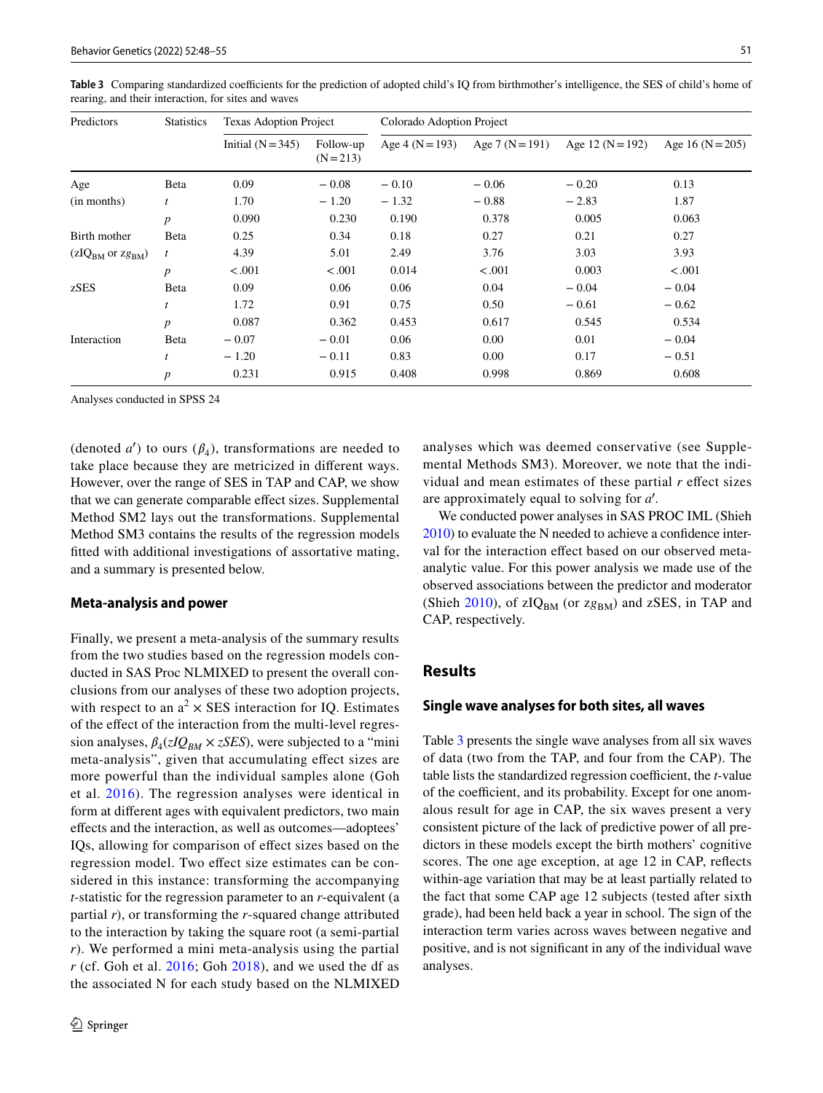| Predictors           | <b>Statistics</b> | <b>Texas Adoption Project</b> |                          | Colorado Adoption Project |                 |                  |                  |  |
|----------------------|-------------------|-------------------------------|--------------------------|---------------------------|-----------------|------------------|------------------|--|
|                      |                   | Initial $(N = 345)$           | Follow-up<br>$(N = 213)$ | Age $4(N=193)$            | Age 7 $(N=191)$ | Age 12 $(N=192)$ | Age 16 $(N=205)$ |  |
| Age                  | Beta              | 0.09                          | $-0.08$                  | $-0.10$                   | $-0.06$         | $-0.20$          | 0.13             |  |
| (in months)          | t                 | 1.70                          | $-1.20$                  | $-1.32$                   | $-0.88$         | $-2.83$          | 1.87             |  |
|                      | $\boldsymbol{p}$  | 0.090                         | 0.230                    | 0.190                     | 0.378           | 0.005            | 0.063            |  |
| Birth mother         | Beta              | 0.25                          | 0.34                     | 0.18                      | 0.27            | 0.21             | 0.27             |  |
| $(zIQBM$ or $zgBM$ ) | $\boldsymbol{t}$  | 4.39                          | 5.01                     | 2.49                      | 3.76            | 3.03             | 3.93             |  |
|                      | $\boldsymbol{p}$  | < .001                        | < 0.001                  | 0.014                     | < .001          | 0.003            | < .001           |  |
| zSES                 | Beta              | 0.09                          | 0.06                     | 0.06                      | 0.04            | $-0.04$          | $-0.04$          |  |
|                      | t                 | 1.72                          | 0.91                     | 0.75                      | 0.50            | $-0.61$          | $-0.62$          |  |
|                      | $\boldsymbol{p}$  | 0.087                         | 0.362                    | 0.453                     | 0.617           | 0.545            | 0.534            |  |
| Interaction          | Beta              | $-0.07$                       | $-0.01$                  | 0.06                      | 0.00            | 0.01             | $-0.04$          |  |
|                      | $\boldsymbol{t}$  | $-1.20$                       | $-0.11$                  | 0.83                      | 0.00            | 0.17             | $-0.51$          |  |
|                      | $\boldsymbol{p}$  | 0.231                         | 0.915                    | 0.408                     | 0.998           | 0.869            | 0.608            |  |

<span id="page-3-0"></span>**Table 3** Comparing standardized coefficients for the prediction of adopted child's IQ from birthmother's intelligence, the SES of child's home of rearing, and their interaction, for sites and waves

Analyses conducted in SPSS 24

(denoted  $a'$ ) to ours  $(\beta_4)$ , transformations are needed to take place because they are metricized in different ways. However, over the range of SES in TAP and CAP, we show that we can generate comparable effect sizes. Supplemental Method SM2 lays out the transformations. Supplemental Method SM3 contains the results of the regression models fitted with additional investigations of assortative mating, and a summary is presented below.

#### **Meta‑analysis and power**

Finally, we present a meta-analysis of the summary results from the two studies based on the regression models conducted in SAS Proc NLMIXED to present the overall conclusions from our analyses of these two adoption projects, with respect to an  $a^2 \times$  SES interaction for IQ. Estimates of the effect of the interaction from the multi-level regression analyses,  $\beta_4(zIQ_{BM} \times zSES)$ , were subjected to a "mini meta-analysis", given that accumulating effect sizes are more powerful than the individual samples alone (Goh et al. [2016\)](#page-7-17). The regression analyses were identical in form at different ages with equivalent predictors, two main effects and the interaction, as well as outcomes—adoptees' IQs, allowing for comparison of effect sizes based on the regression model. Two effect size estimates can be considered in this instance: transforming the accompanying *t*-statistic for the regression parameter to an *r*-equivalent (a partial *r*), or transforming the *r*-squared change attributed to the interaction by taking the square root (a semi-partial *r*). We performed a mini meta-analysis using the partial *r* (cf. Goh et al. [2016;](#page-7-17) Goh [2018\)](#page-7-18), and we used the df as the associated N for each study based on the NLMIXED

analyses which was deemed conservative (see Supplemental Methods SM3). Moreover, we note that the individual and mean estimates of these partial *r* effect sizes are approximately equal to solving for a'.

We conducted power analyses in SAS PROC IML (Shieh [2010\)](#page-7-19) to evaluate the N needed to achieve a confidence interval for the interaction effect based on our observed metaanalytic value. For this power analysis we made use of the observed associations between the predictor and moderator (Shieh [2010\)](#page-7-19), of  $zIQ<sub>BM</sub>$  (or  $zg<sub>BM</sub>$ ) and  $zSES$ , in TAP and CAP, respectively.

# **Results**

## **Single wave analyses for both sites, all waves**

Table [3](#page-3-0) presents the single wave analyses from all six waves of data (two from the TAP, and four from the CAP). The table lists the standardized regression coefficient, the *t*-value of the coefficient, and its probability. Except for one anomalous result for age in CAP, the six waves present a very consistent picture of the lack of predictive power of all predictors in these models except the birth mothers' cognitive scores. The one age exception, at age 12 in CAP, reflects within-age variation that may be at least partially related to the fact that some CAP age 12 subjects (tested after sixth grade), had been held back a year in school. The sign of the interaction term varies across waves between negative and positive, and is not significant in any of the individual wave analyses.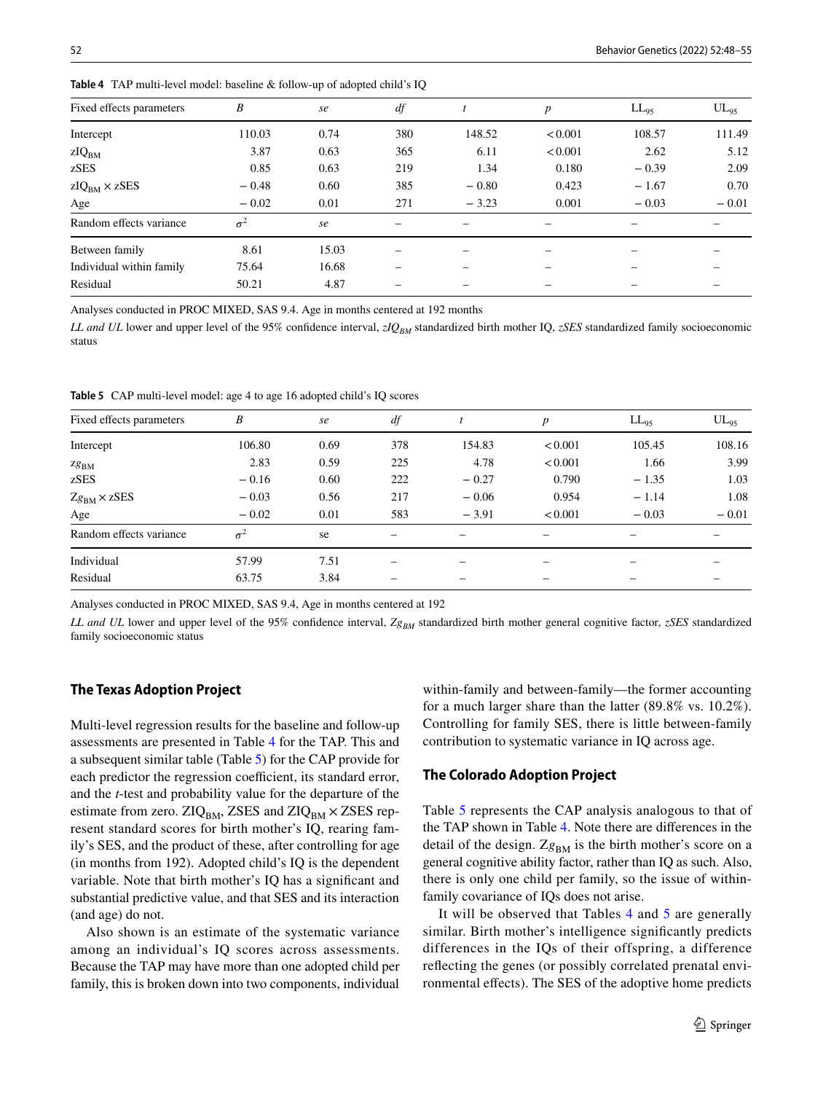| Fixed effects parameters | B          | se    | df  |                 | $\boldsymbol{p}$ | $LL_{95}$ | $UL_{95}$ |
|--------------------------|------------|-------|-----|-----------------|------------------|-----------|-----------|
| Intercept                | 110.03     | 0.74  | 380 | 148.52          | < 0.001          | 108.57    | 111.49    |
| zIQ <sub>BM</sub>        | 3.87       | 0.63  | 365 | 6.11            | < 0.001          | 2.62      | 5.12      |
| zSES                     | 0.85       | 0.63  | 219 | 1.34            | 0.180            | $-0.39$   | 2.09      |
| $zIQBM \times zSES$      | $-0.48$    | 0.60  | 385 | $-0.80$         | 0.423            | $-1.67$   | 0.70      |
| Age                      | $-0.02$    | 0.01  | 271 | $-3.23$         | 0.001            | $-0.03$   | $-0.01$   |
| Random effects variance  | $\sigma^2$ | se    | -   | $\qquad \qquad$ | -                | -         |           |
| Between family           | 8.61       | 15.03 |     |                 |                  |           |           |
| Individual within family | 75.64      | 16.68 |     |                 |                  |           |           |
| Residual                 | 50.21      | 4.87  |     |                 |                  |           |           |

<span id="page-4-0"></span>**Table 4** TAP multi-level model: baseline & follow-up of adopted child's IQ

Analyses conducted in PROC MIXED, SAS 9.4. Age in months centered at 192 months

*LL and UL* lower and upper level of the 95% confidence interval, *zIQBM* standardized birth mother IQ, *zSES* standardized family socioeconomic status

<span id="page-4-1"></span>**Table 5** CAP multi-level model: age 4 to age 16 adopted child's IQ scores

| Fixed effects parameters | B          | se   | df  |         | p       | $LL_{95}$ | $UL_{95}$ |
|--------------------------|------------|------|-----|---------|---------|-----------|-----------|
| Intercept                | 106.80     | 0.69 | 378 | 154.83  | < 0.001 | 105.45    | 108.16    |
| $Zg_{BM}$                | 2.83       | 0.59 | 225 | 4.78    | < 0.001 | 1.66      | 3.99      |
| zSES                     | $-0.16$    | 0.60 | 222 | $-0.27$ | 0.790   | $-1.35$   | 1.03      |
| $Zg_{BM} \times zSES$    | $-0.03$    | 0.56 | 217 | $-0.06$ | 0.954   | $-1.14$   | 1.08      |
| Age                      | $-0.02$    | 0.01 | 583 | $-3.91$ | < 0.001 | $-0.03$   | $-0.01$   |
| Random effects variance  | $\sigma^2$ | se   | -   |         |         |           |           |
| Individual               | 57.99      | 7.51 | -   |         |         |           |           |
| Residual                 | 63.75      | 3.84 |     | -       | -       |           |           |

Analyses conducted in PROC MIXED, SAS 9.4, Age in months centered at 192

*LL and UL* lower and upper level of the 95% confidence interval,  $Z_{\mathcal{R}_{BM}}$  standardized birth mother general cognitive factor, *zSES* standardized family socioeconomic status

#### **The Texas Adoption Project**

Multi-level regression results for the baseline and follow-up assessments are presented in Table [4](#page-4-0) for the TAP. This and a subsequent similar table (Table [5\)](#page-4-1) for the CAP provide for each predictor the regression coefficient, its standard error, and the *t*-test and probability value for the departure of the estimate from zero.  $ZIQ<sub>BM</sub>$ , ZSES and  $ZIQ<sub>BM</sub>$  × ZSES represent standard scores for birth mother's IQ, rearing family's SES, and the product of these, after controlling for age (in months from 192). Adopted child's IQ is the dependent variable. Note that birth mother's IQ has a significant and substantial predictive value, and that SES and its interaction (and age) do not.

Also shown is an estimate of the systematic variance among an individual's IQ scores across assessments. Because the TAP may have more than one adopted child per family, this is broken down into two components, individual

within-family and between-family—the former accounting for a much larger share than the latter (89.8% vs. 10.2%). Controlling for family SES, there is little between-family contribution to systematic variance in IQ across age.

## **The Colorado Adoption Project**

Table [5](#page-4-1) represents the CAP analysis analogous to that of the TAP shown in Table [4.](#page-4-0) Note there are differences in the detail of the design. Zg<sub>BM</sub> is the birth mother's score on a general cognitive ability factor, rather than IQ as such. Also, there is only one child per family, so the issue of withinfamily covariance of IQs does not arise.

It will be observed that Tables [4](#page-4-0) and [5](#page-4-1) are generally similar. Birth mother's intelligence significantly predicts differences in the IQs of their offspring, a difference reflecting the genes (or possibly correlated prenatal environmental effects). The SES of the adoptive home predicts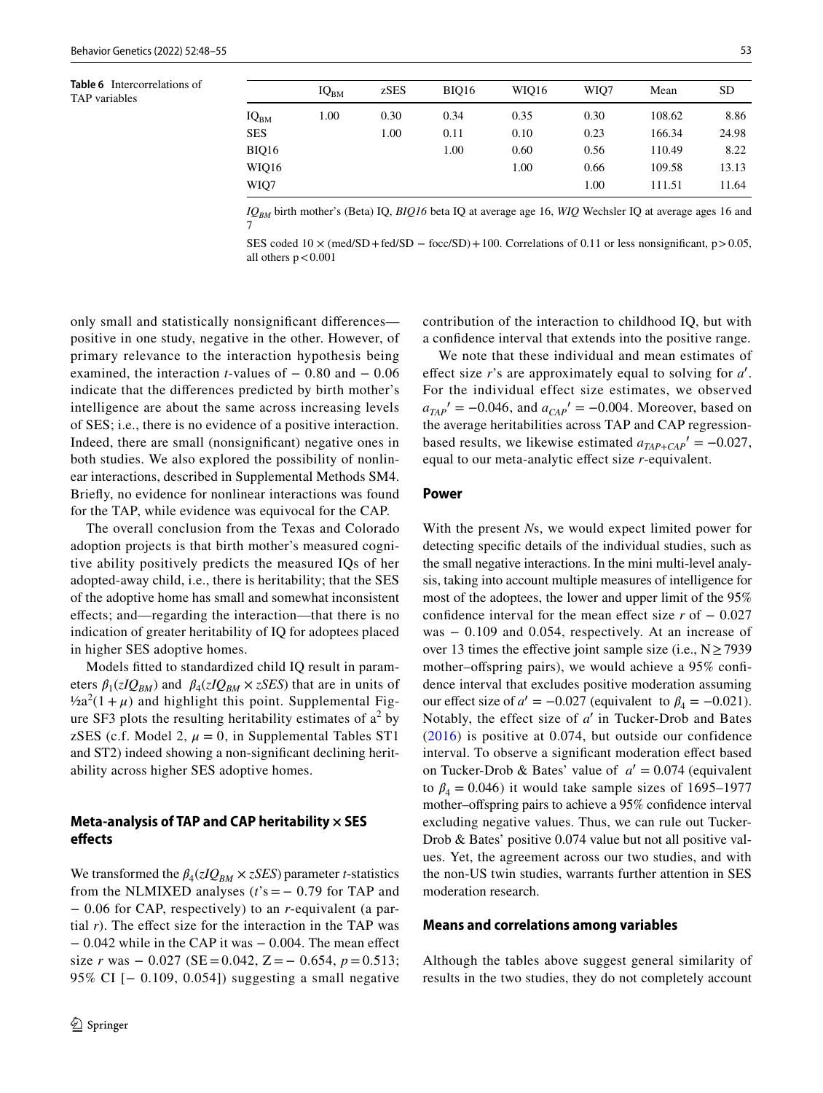<span id="page-5-0"></span>**Table 6** Intercorrelations of TAP variables

|                  | IQ <sub>BM</sub> | zSES | <b>BIO16</b> | WIO16 | WIO7 | Mean   | <b>SD</b> |
|------------------|------------------|------|--------------|-------|------|--------|-----------|
| IQ <sub>BM</sub> | 1.00             | 0.30 | 0.34         | 0.35  | 0.30 | 108.62 | 8.86      |
| <b>SES</b>       |                  | 1.00 | 0.11         | 0.10  | 0.23 | 166.34 | 24.98     |
| BIQ16            |                  |      | 1.00         | 0.60  | 0.56 | 110.49 | 8.22      |
| WIQ16            |                  |      |              | 1.00  | 0.66 | 109.58 | 13.13     |
| WIQ7             |                  |      |              |       | 1.00 | 111.51 | 11.64     |

*IQBM* birth mother's (Beta) IQ, *BIQ16* beta IQ at average age 16, *WIQ* Wechsler IQ at average ages 16 and 7

SES coded  $10 \times$  (med/SD + fed/SD − focc/SD) + 100. Correlations of 0.11 or less nonsignificant, p > 0.05, all others  $p < 0.001$ 

only small and statistically nonsignificant differences positive in one study, negative in the other. However, of primary relevance to the interaction hypothesis being examined, the interaction *t*-values of − 0.80 and − 0.06 indicate that the differences predicted by birth mother's intelligence are about the same across increasing levels of SES; i.e., there is no evidence of a positive interaction. Indeed, there are small (nonsignificant) negative ones in both studies. We also explored the possibility of nonlinear interactions, described in Supplemental Methods SM4. Briefly, no evidence for nonlinear interactions was found for the TAP, while evidence was equivocal for the CAP.

The overall conclusion from the Texas and Colorado adoption projects is that birth mother's measured cognitive ability positively predicts the measured IQs of her adopted-away child, i.e., there is heritability; that the SES of the adoptive home has small and somewhat inconsistent effects; and—regarding the interaction—that there is no indication of greater heritability of IQ for adoptees placed in higher SES adoptive homes.

Models fitted to standardized child IQ result in parameters  $\beta_1(zIQ_{BM})$  and  $\beta_4(zIQ_{BM} \times zSES)$  that are in units of  $\frac{1}{2}a^2(1+\mu)$  and highlight this point. Supplemental Figure SF3 plots the resulting heritability estimates of  $a^2$  by zSES (c.f. Model 2,  $\mu = 0$ , in Supplemental Tables ST1 and ST2) indeed showing a non-significant declining heritability across higher SES adoptive homes.

## **Meta‑analysis of TAP and CAP heritability × SES effects**

We transformed the  $\beta_4(zIQ_{BM} \times zSES)$  parameter *t*-statistics from the NLMIXED analyses  $(t's = -0.79$  for TAP and − 0.06 for CAP, respectively) to an *r*-equivalent (a partial *r*). The effect size for the interaction in the TAP was − 0.042 while in the CAP it was − 0.004. The mean effect size *r* was  $-0.027$  (SE = 0.042, Z =  $-0.654$ ,  $p = 0.513$ ; 95% CI [− 0.109, 0.054]) suggesting a small negative

contribution of the interaction to childhood IQ, but with a confidence interval that extends into the positive range.

We note that these individual and mean estimates of effect size  $r$ 's are approximately equal to solving for  $a'$ . For the individual effect size estimates, we observed  $a_{TAP}$ <sup>'</sup> = −0.046, and  $a_{CAP}$ <sup>'</sup> = −0.004. Moreover, based on the average heritabilities across TAP and CAP regressionbased results, we likewise estimated  $a_{TAP+CAP}' = -0.027$ , equal to our meta-analytic effect size *r*-equivalent.

#### **Power**

With the present *N*s, we would expect limited power for detecting specific details of the individual studies, such as the small negative interactions. In the mini multi-level analysis, taking into account multiple measures of intelligence for most of the adoptees, the lower and upper limit of the 95% confidence interval for the mean effect size *r* of − 0.027 was − 0.109 and 0.054, respectively. At an increase of over 13 times the effective joint sample size (i.e.,  $N \ge 7939$ mother–offspring pairs), we would achieve a 95% confidence interval that excludes positive moderation assuming our effect size of  $a' = -0.027$  (equivalent to  $\beta_4 = -0.021$ ). Notably, the effect size of *a'* in Tucker-Drob and Bates ([2016\)](#page-7-0) is positive at 0.074, but outside our confidence interval. To observe a significant moderation effect based on Tucker-Drob & Bates' value of  $a' = 0.074$  (equivalent to  $\beta_4 = 0.046$ ) it would take sample sizes of 1695–1977 mother–offspring pairs to achieve a 95% confidence interval excluding negative values. Thus, we can rule out Tucker-Drob & Bates' positive 0.074 value but not all positive values. Yet, the agreement across our two studies, and with the non-US twin studies, warrants further attention in SES moderation research.

#### **Means and correlations among variables**

Although the tables above suggest general similarity of results in the two studies, they do not completely account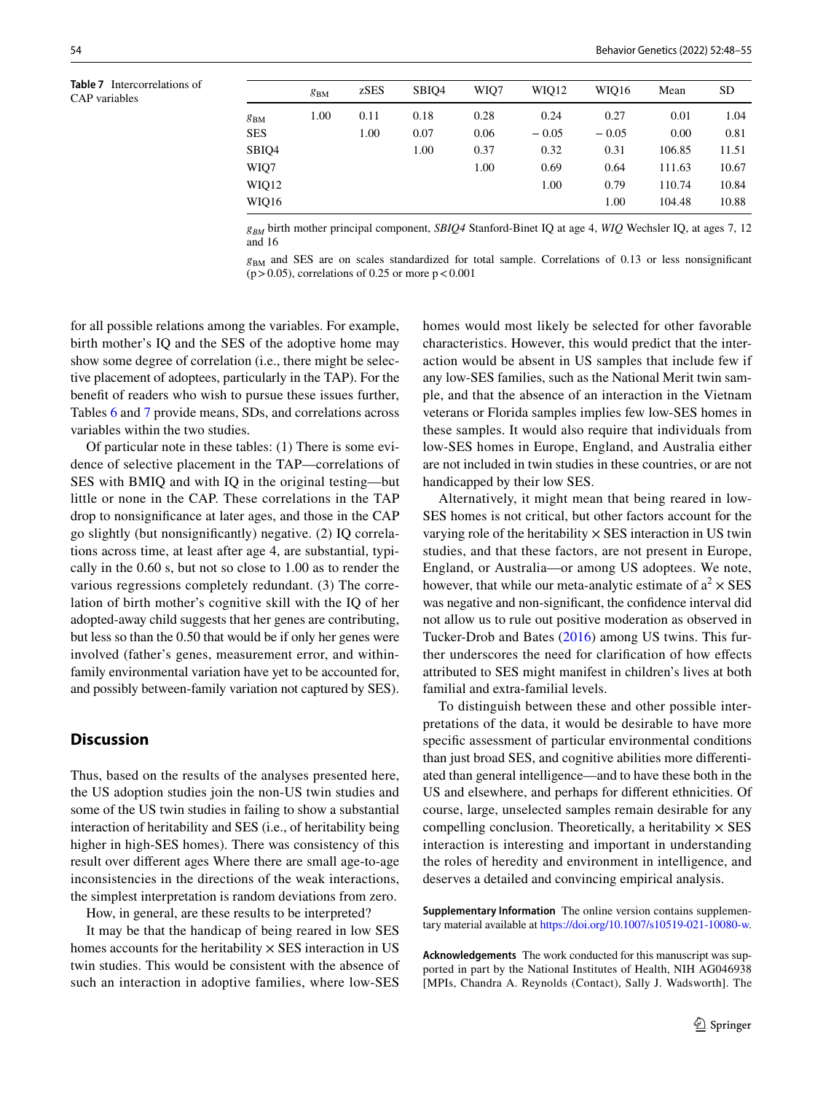<span id="page-6-0"></span>**Table 7** Intercorrelations of CAP variables

|          | $g_{BM}$ | zSES | SBIO <sub>4</sub> | WIO7 | WIO12   | WIO16   | Mean   | <b>SD</b> |
|----------|----------|------|-------------------|------|---------|---------|--------|-----------|
| $g_{BM}$ | 1.00     | 0.11 | 0.18              | 0.28 | 0.24    | 0.27    | 0.01   | 1.04      |
| SES      |          | 1.00 | 0.07              | 0.06 | $-0.05$ | $-0.05$ | 0.00   | 0.81      |
| SBIQ4    |          |      | 1.00              | 0.37 | 0.32    | 0.31    | 106.85 | 11.51     |
| WIQ7     |          |      |                   | 1.00 | 0.69    | 0.64    | 111.63 | 10.67     |
| WIQ12    |          |      |                   |      | 1.00    | 0.79    | 110.74 | 10.84     |
| WIQ16    |          |      |                   |      |         | 1.00    | 104.48 | 10.88     |

 $g_{RM}$  birth mother principal component, *SBIQ4* Stanford-Binet IQ at age 4, *WIQ* Wechsler IQ, at ages 7, 12 and 16

 $g<sub>BM</sub>$  and SES are on scales standardized for total sample. Correlations of 0.13 or less nonsignificant  $(p > 0.05)$ , correlations of 0.25 or more  $p < 0.001$ 

for all possible relations among the variables. For example, birth mother's IQ and the SES of the adoptive home may show some degree of correlation (i.e., there might be selective placement of adoptees, particularly in the TAP). For the benefit of readers who wish to pursue these issues further, Tables [6](#page-5-0) and [7](#page-6-0) provide means, SDs, and correlations across variables within the two studies.

Of particular note in these tables: (1) There is some evidence of selective placement in the TAP—correlations of SES with BMIQ and with IQ in the original testing—but little or none in the CAP. These correlations in the TAP drop to nonsignificance at later ages, and those in the CAP go slightly (but nonsignificantly) negative. (2) IQ correlations across time, at least after age 4, are substantial, typically in the 0.60 s, but not so close to 1.00 as to render the various regressions completely redundant. (3) The correlation of birth mother's cognitive skill with the IQ of her adopted-away child suggests that her genes are contributing, but less so than the 0.50 that would be if only her genes were involved (father's genes, measurement error, and withinfamily environmental variation have yet to be accounted for, and possibly between-family variation not captured by SES).

# **Discussion**

Thus, based on the results of the analyses presented here, the US adoption studies join the non-US twin studies and some of the US twin studies in failing to show a substantial interaction of heritability and SES (i.e., of heritability being higher in high-SES homes). There was consistency of this result over different ages Where there are small age-to-age inconsistencies in the directions of the weak interactions, the simplest interpretation is random deviations from zero.

How, in general, are these results to be interpreted?

It may be that the handicap of being reared in low SES homes accounts for the heritability  $\times$  SES interaction in US twin studies. This would be consistent with the absence of such an interaction in adoptive families, where low-SES

homes would most likely be selected for other favorable characteristics. However, this would predict that the interaction would be absent in US samples that include few if any low-SES families, such as the National Merit twin sample, and that the absence of an interaction in the Vietnam veterans or Florida samples implies few low-SES homes in these samples. It would also require that individuals from low-SES homes in Europe, England, and Australia either are not included in twin studies in these countries, or are not handicapped by their low SES.

Alternatively, it might mean that being reared in low-SES homes is not critical, but other factors account for the varying role of the heritability  $\times$  SES interaction in US twin studies, and that these factors, are not present in Europe, England, or Australia—or among US adoptees. We note, however, that while our meta-analytic estimate of  $a^2 \times SES$ was negative and non-significant, the confidence interval did not allow us to rule out positive moderation as observed in Tucker-Drob and Bates ([2016](#page-7-0)) among US twins. This further underscores the need for clarification of how effects attributed to SES might manifest in children's lives at both familial and extra-familial levels.

To distinguish between these and other possible interpretations of the data, it would be desirable to have more specific assessment of particular environmental conditions than just broad SES, and cognitive abilities more differentiated than general intelligence—and to have these both in the US and elsewhere, and perhaps for different ethnicities. Of course, large, unselected samples remain desirable for any compelling conclusion. Theoretically, a heritability  $\times$  SES interaction is interesting and important in understanding the roles of heredity and environment in intelligence, and deserves a detailed and convincing empirical analysis.

**Supplementary Information** The online version contains supplementary material available at https://doi.org/10.1007/s10519-021-10080-w.

**Acknowledgements** The work conducted for this manuscript was supported in part by the National Institutes of Health, NIH AG046938 [MPIs, Chandra A. Reynolds (Contact), Sally J. Wadsworth]. The